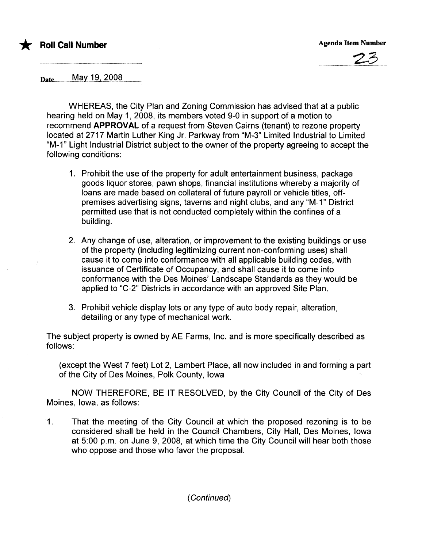# \* Roll Call Number Agenda Item Number Agenda Item Number



Date.................M.ayJ..~.i...f.9Q.S.................

WHEREAS, the City Plan and Zoning Commission has advised that at a public hearing held on May 1, 2008, its members voted 9-0 in support of a motion to recommend APPROVAL of a request from Steven Cairns (tenant) to rezone property located at 2717 Martin Luther King Jr. Parkway from "M-3" Limited Industrial to Limited "M-1" Light Industrial District subject to the owner of the property agreeing to accept the following conditions:

- 1. Prohibit the use of the property for adult entertainment business, package goods liquor stores, pawn shops, financial institutions whereby a majority of loans are made based on collateral of future payroll or vehicle titles, offpremises advertising signs, taverns and night clubs, and any "M-1" District permitted use that is not conducted completely within the confines of a building.
- 2. Any change of use, alteration, or improvement to the existing buildings or use of the property (including legitimizing current non-conforming uses) shall cause it to come into conformance with all applicable building codes, with issuance of Certificate of Occupancy, and shall cause it to come into conformance with the Des Moines' Landscape Standards as they would be applied to "C-2" Districts in accordance with an approved Site Plan.
- 3. Prohibit vehicle display lots or any type of auto body repair, alteration, detailing or any type of mechanical work.

The subject property is owned by AE Farms, Inc. and is more specifically described as follows:

(except the West 7 feet) Lot 2, Lambert Place, all now included in and forming a part of the City of Des Moines, Polk County, Iowa

NOW THEREFORE, BE IT RESOLVED, by the City Council of the City of Des Moines, Iowa, as follows:

1. That the meeting of the City Council at which the proposed rezoning is to be considered shall be held in the Council Chambers, City Hall, Des Moines, Iowa at 5:00 p.m. on June 9, 2008, at which time the City Council will hear both those who oppose and those who favor the proposal.

( Continued)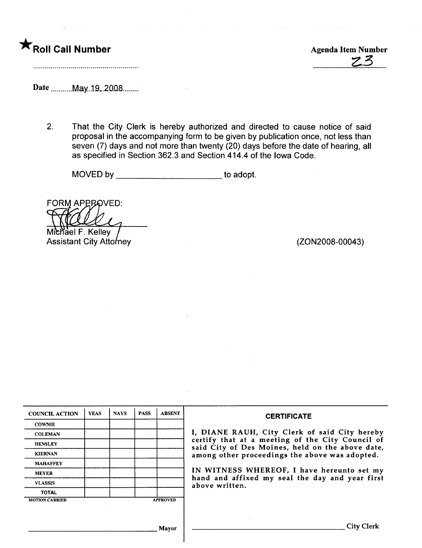

 $ZZ$ 

Date \_\_\_\_\_\_\_May 19, 2008........

2. That the City Clerk is hereby authorized and directed to cause notice of said proposal in the accompanying form to be given by publication once, not less than seven (7) days and not more than twenty (20) days before the date of hearing, all as specified in Section 362.3 and Section 414.4 of the Iowa Code.

MOVED by \_\_\_\_\_\_\_\_\_\_\_\_\_\_\_\_\_\_\_\_\_\_\_\_\_\_\_to adopt.

**FORM APPROVED:** 

Michael F. Kelley Assistant City Attorney **Assistant City Attorney** (ZON2008-00043)

| <b>COUNCIL ACTION</b> | <b>YEAS</b> | <b>NAYS</b> | <b>PASS</b> | <b>ABSENT</b>   | <b>CERTIFICATE</b>                                                                                   |
|-----------------------|-------------|-------------|-------------|-----------------|------------------------------------------------------------------------------------------------------|
| <b>COWNIE</b>         |             |             |             |                 |                                                                                                      |
| <b>COLEMAN</b>        |             |             |             |                 | I, DIANE RAUH, City Clerk of said City hereby                                                        |
| <b>HENSLEY</b>        |             |             |             |                 | certify that at a meeting of the City Council of<br>said City of Des Moines, held on the above date, |
| <b>KIERNAN</b>        |             |             |             |                 | among other proceedings the above was adopted.                                                       |
| <b>MAHAFFEY</b>       |             |             |             |                 |                                                                                                      |
| <b>MEYER</b>          |             |             |             |                 | IN WITNESS WHEREOF, I have hereunto set my                                                           |
| <b>VLASSIS</b>        |             |             |             |                 | hand and affixed my seal the day and year first<br>above written.                                    |
| <b>TOTAL</b>          |             |             |             |                 |                                                                                                      |
| <b>MOTION CARRIED</b> |             |             |             | <b>APPROVED</b> |                                                                                                      |
|                       |             |             |             |                 |                                                                                                      |
|                       |             |             |             |                 |                                                                                                      |
|                       |             |             |             | Mayor           | City C                                                                                               |

1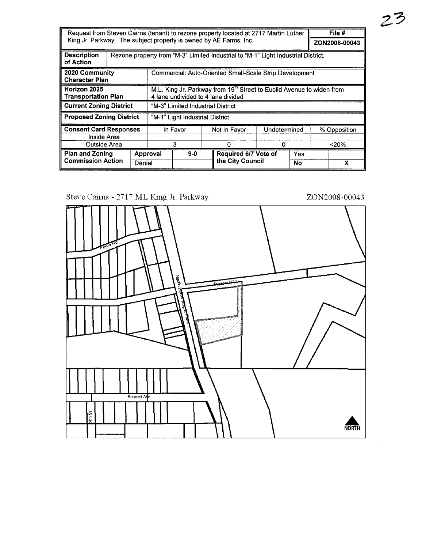| Request from Steven Cairns (tenant) to rezone property located at 2717 Martin Luther |                                         |          |                                                                                                                         |              |                                                         |                      |              |       |               | File # |  |
|--------------------------------------------------------------------------------------|-----------------------------------------|----------|-------------------------------------------------------------------------------------------------------------------------|--------------|---------------------------------------------------------|----------------------|--------------|-------|---------------|--------|--|
| King Jr. Parkway. The subject property is owned by AE Farms, Inc.                    |                                         |          |                                                                                                                         |              |                                                         |                      |              |       | ZON2008-00043 |        |  |
| <b>Description</b><br>of Action                                                      |                                         |          | Rezone property from "M-3" Limited Industrial to "M-1" Light Industrial District.                                       |              |                                                         |                      |              |       |               |        |  |
|                                                                                      | 2020 Community<br><b>Character Plan</b> |          |                                                                                                                         |              | Commercial: Auto-Oriented Small-Scale Strip Development |                      |              |       |               |        |  |
| Horizon 2025<br><b>Transportation Plan</b>                                           |                                         |          | M.L. King Jr. Parkway from 19 <sup>th</sup> Street to Euclid Avenue to widen from<br>4 lane undivided to 4 lane divided |              |                                                         |                      |              |       |               |        |  |
| <b>Current Zoning District</b>                                                       |                                         |          | "M-3" Limited Industrial District                                                                                       |              |                                                         |                      |              |       |               |        |  |
| <b>Proposed Zoning District</b>                                                      |                                         |          | "M-1" Light Industrial District                                                                                         |              |                                                         |                      |              |       |               |        |  |
| <b>Consent Card Responses</b><br>Inside Area                                         |                                         | In Favor |                                                                                                                         | Not In Favor |                                                         |                      | Undetermined |       | % Opposition  |        |  |
| Outside Area                                                                         |                                         | 3        |                                                                                                                         |              |                                                         | 0                    |              | < 20% |               |        |  |
| <b>Plan and Zoning</b>                                                               |                                         | Approval |                                                                                                                         | $9-0$        |                                                         | Required 6/7 Vote of |              | Yes   |               |        |  |
| <b>Commission Action</b>                                                             |                                         | Denial   |                                                                                                                         |              |                                                         | the City Council     |              | No    |               | x      |  |

Steve Cairns -  $2717\ \mathrm{ML}$  King Jr. Parkway



 $23$ 

ZON2008-00043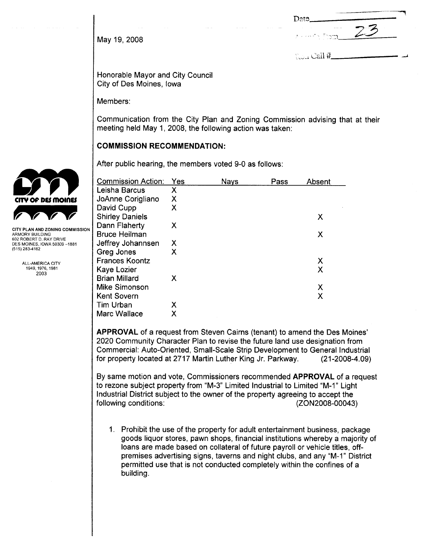May 19, 2008  $\frac{25}{3}$ 

Date

,

 $\mathbb{C}\mathbb{J}_{11}$  Call  $#$ 

Honorable Mayor and City Council City of Des Moines, Iowa

Members:

Communication from the City Plan and Zoning Commission advising that at their meeting held May 1, 2008, the following action was taken:

### COMMISSION RECOMMENDATION:

After public hearing, the members voted 9-0 as follows:

| <b>Commission Action:</b> | Yes | Nays | Pass | Absent |
|---------------------------|-----|------|------|--------|
| Leisha Barcus             | Χ   |      |      |        |
| JoAnne Corigliano         | Χ   |      |      |        |
| David Cupp                | Χ   |      |      |        |
| <b>Shirley Daniels</b>    |     |      |      | Х      |
| Dann Flaherty             | х   |      |      |        |
| <b>Bruce Heilman</b>      |     |      |      | X      |
| Jeffrey Johannsen         | х   |      |      |        |
| Greg Jones                | Χ   |      |      |        |
| <b>Frances Koontz</b>     |     |      |      | Х      |
| Kaye Lozier               |     |      |      | X      |
| <b>Brian Millard</b>      | Х   |      |      |        |
| Mike Simonson             |     |      |      | Х      |
| <b>Kent Sovern</b>        |     |      |      | X      |
| <b>Tim Urban</b>          | Х   |      |      |        |
| Marc Wallace              | Χ   |      |      |        |

APPROVAL of a request from Steven Cairns (tenant) to amend the Des Moines' 2020 Community Character Plan to revise the future land use designation from Commercial: Auto-Oriented, Small-Scale Strip Development to General Industrial for property located at 2717 Martin Luther King Jr. Parkway. (21-2008-4.09)

By same motion and vote, Commissioners recommended APPROVAL of a request to rezone subject property from "M-3" Limited Industrial to Limited "M-1" Light Industrial District subject to the owner of the property agreeing to accept the following conditions: (ZON2008-00043)

1. Prohibit the use of the property for adult entertainment business, package goods liquor stores, pawn shops, financial institutions whereby a majority of loans are made based on collateral of future payroll or vehicle titles, offpremises advertising signs, taverns and night clubs, and any "M-1" District permitted use that is not conducted completely within the confines of a building.



CITY PLAN AND ZONING COMMISSION ARMORY BUILDING 602 ROBERT D. RAY DRIVE DES MOINES, IOWA 50309-1881  $(515)$  283-4182

> ALL-AMERICA CITY 1949, 1976, 1981 2003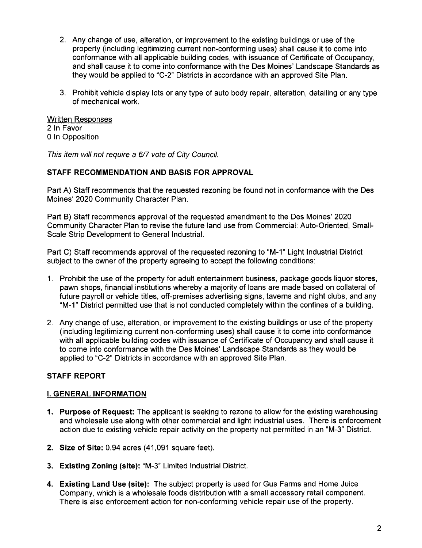- 2. Any change of use, alteration, or improvement to the existing buildings or use of the property (including legitimizing current non-conforming uses) shall cause it to come into conformance with all applicable building codes, with issuance of Certificate of Occupancy, and shall cause it to come into conformance with the Des Moines' Landscape Standards as they would be applied to "C-2" Districts in accordance with an approved Site Plan.
- 3. Prohibit vehicle display lots or any type of auto body repair, alteration, detailing or any type of mechanical work.

#### Written Responses 2 In Favor o In Opposition

This item will not require a 6/7 vote of City Council.

## STAFF RECOMMENDATION AND BASIS FOR APPROVAL

Part A) Staff recommends that the requested rezoning be found not in conformance with the Des Moines' 2020 Community Character Plan.

Part B) Staff recommends approval of the requested amendment to the Des Moines' 2020 Community Character Plan to revise the future land use from Commercial: Auto-Oriented, Small-Scale Strip Development to General IndustriaL.

Part C) Staff recommends approval of the requested rezoning to "M\_1" Light Industrial District subject to the owner of the property agreeing to accept the following conditions:

- 1. Prohibit the use of the property for adult entertainment business, package goods liquor stores, pawn shops, financial institutions whereby a majority of loans are made based on collateral of future payroll or vehicle titles, off-premises advertising signs, taverns and night clubs, and any "M\_1" District permitted use that is not conducted completely within the confines of a building.
- 2. Any change of use, alteration, or improvement to the existing buildings or use of the property (including legitimizing current non-conforming uses) shall cause it to come into conformance with all applicable building codes with issuance of Certificate of Occupancy and shall cause it to come into conformance with the Des Moines' Landscape Standards as they would be applied to "C-2" Districts in accordance with an approved Site Plan.

# STAFF REPORT

# i. GENERAL INFORMATION

- 1. Purpose of Request: The applicant is seeking to rezone to allow for the existing warehousing and wholesale use along with other commercial and light industrial uses. There is enforcement action due to existing vehicle repair activity on the property not permitted in an "M\_3" District.
- 2. Size of Site: 0.94 acres (41,091 square feet).
- 3. Existing Zoning (site): "M\_3" Limited Industrial District.
- 4. Existing Land Use (site): The subject property is used for Gus Farms and Home Juice Company, which is a wholesale foods distribution with a small accessory retail component. There is also enforcement action for non-conforming vehicle repair use of the property.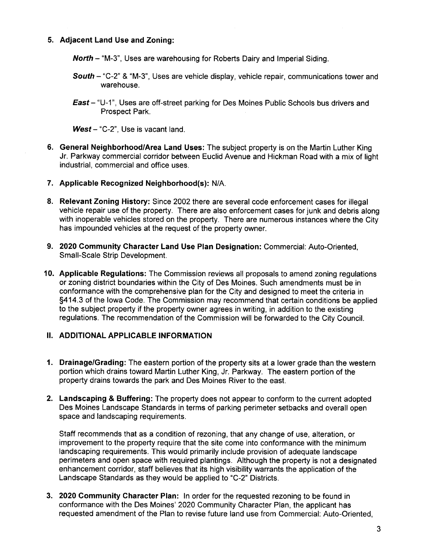### 5. Adjacent Land Use and Zoning:

North - "M-3", Uses are warehousing for Roberts Dairy and Imperial Siding.

- South "C-2" & "M-3". Uses are vehicle display, vehicle repair, communications tower and warehouse.
- East- "U-1", Uses are off-street parking for Des Moines Public Schools bus drivers and Prospect Park.

 $West - "C-2"$ , Use is vacant land.

- 6. General Neighborhood/Area Land Uses: The subject property is on the Martin Luther King Jr. Parkway commercial corridor between Euclid Avenue and Hickman Road with a mix of light industrial, commercial and office uses.
- 7. Applicable Recognized Neighborhood(s): N/A.
- 8. Relevant Zoning History: Since 2002 there are several code enforcement cases for illegal vehicle repair use of the property. There are also enforcement cases for junk and debris along with inoperable vehicles stored on the property. There are numerous instances where the City has impounded vehicles at the request of the property owner.
- 9. 2020 Community Character Land Use Plan Designation: Commercial: Auto-Oriented, Small-Scale Strip Development.
- 10. Applicable Regulations: The Commission reviews all proposals to amend zoning regulations or zoning district boundaries within the City of Des Moines. Such amendments must be in conformance with the comprehensive plan for the City and designed to meet the criteria in §414.3 of the Iowa Code. The Commission may recommend that certain conditions be applied to the subject property if the property owner agrees in writing, in addition to the existing regulations. The recommendation of the Commission will be forwarded to the City CounciL.

### II. ADDITIONAL APPLICABLE INFORMATION

- 1. Drainage/Grading: The eastern portion of the property sits at a lower grade than the western portion which drains toward Martin Luther King, Jr. Parkway. The eastern portion of the property drains towards the park and Des Moines River to the east.
- 2. Landscaping & Buffering: The property does not appear to conform to the current adopted Des Moines Landscape Standards in terms of parking perimeter setbacks and overall open space and landscaping requirements.

Staff recommends that as a condition of rezoning, that any change of use, alteration, or improvement to the property require that the site come into conformance with the minimum landscaping requirements. This would primarily include provision of adequate landscape perimeters and open space with required plantings. Although the property is not a designated enhancement corridor, staff believes that its high visibility warrants the application of the Landscape Standards as they would be applied to "C-2" Districts.

3. 2020 Community Character Plan: In order for the requested rezoning to be found in conformance with the Des Moines' 2020 Community Character Plan, the applicant has requested amendment of the Plan to revise future land use from Commercial: Auto-Oriented,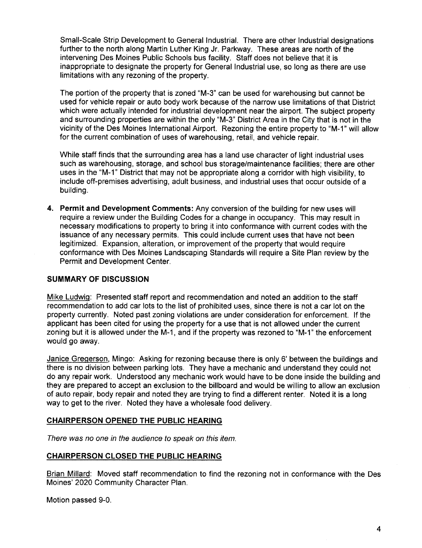Small-Scale Strip Development to General IndustriaL. There are other Industrial designations further to the north along Martin Luther King Jr. Parkway. These areas are north of the intervening Des Moines Public Schools bus facility. Staff does not believe that it is inappropriate to designate the property for General Industrial use, so long as there are use limitations with any rezoning of the property.

The portion of the property that is zoned "M-3" can be used for warehousing but cannot be used for vehicle repair or auto body work because of the narrow use limitations of that District which were actually intended for industrial development near the airport. The subject property and surrounding properties are within the only "M-3" District Area in the City that is not in the vicinity of the Des Moines International Airport. Rezoning the entire property to "M-1" will allow for the current combination of uses of warehousing, retail, and vehicle repair.

While staff finds that the surrounding area has a land use character of light industrial uses such as warehousing, storage, and school bus storage/maintenance facilities; there are other uses in the "M-1" District that may not be appropriate along a corridor with high visibility, to include off-premises advertising, adult business, and industrial uses that occur outside of a building.

4. Permit and Development Comments: Any conversion of the building for new uses will require a review under the Building Codes for a change in occupancy. This may result in necessary modifications to property to bring it into conformance with current codes with the issuance of any necessary permits. This could include current uses that have not been legitimized. Expansion, alteration, or improvement of the property that would require conformance with Des Moines Landscaping Standards wil require a Site Plan review by the Permit and Development Center.

### SUMMARY OF DISCUSSION

Mike LudwiQ: Presented staff report and recommendation and noted an addition to the staff recommendation to add car lots to the list of prohibited uses, since there is not a car lot on the property currently. Noted past zoning violations are under consideration for enforcement. If the applicant has been cited for using the property for a use that is not allowed under the current zoning but it is allowed under the M-1, and if the property was rezoned to "M-1" the enforcement would go away.

Janice Gregerson, Mingo: Asking for rezoning because there is only 6' between the buildings and there is no division between parking lots. They have a mechanic and understand they could not do any repair work. Understood any mechanic work would have to be done inside the building and they are prepared to accept an exclusion to the billboard and would be willing to allow an exclusion of auto repair, body repair and noted they are trying to find a different renter. Noted it is a long way to get to the river. Noted they have a wholesale food delivery.

#### CHAIRPERSON OPENED THE PUBLIC HEARING

There was no one in the audience to speak on this item.

#### CHAIRPERSON CLOSED THE PUBLIC HEARING

Brian Millard: Moved staff recommendation to find the rezoning not in conformance with the Des Moines' 2020 Community Character Plan.

Motion passed 9-0.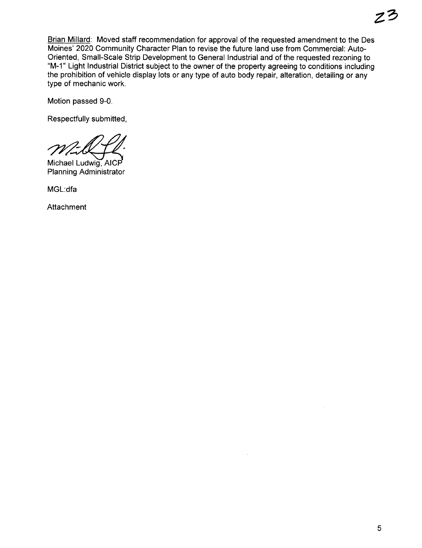Brian Milard: Moved staff recommendation for approval of the requested amendment to the Des Moines' 2020 Community Character Plan to revise the future land use from Commercial: Auto-Oriented, Small-Scale Strip Development to General Industrial and of the requested rezoning to "M-1" Light Industrial District subject to the owner of the property agreeing to conditions including the prohibition of vehicle display lots or any type of auto body repair, alteration, detailing or any type of mechanic work.

Motion passed 9-0.

Respectfully submitted,

Respectivity submitted.

Planning Administrator

MGL:dfa

Attachment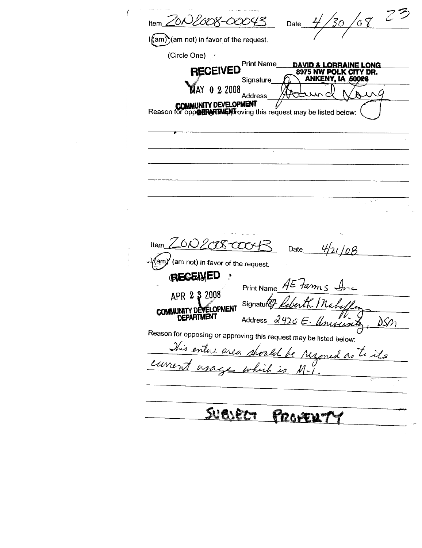$\frac{10}{68}$  23 Item ZON2008-00 Date  $\frac{1}{\text{tan}}\text{tan}$  not) in favor of the request. (Circle One) **Print Name DAVID & LORRAINE LONG RECEIVED** 8975 NW POLK CITY DR. ANKENY, IA 50023 Signature AY 022008 UNG Address **COMMUNITY DEVELOPMENT**<br>Reason for opp**osing functions** this request may be listed below: Item ZON2CER-COOKR  $4/21/08$ Date  $\left(\text{am}\right)^\prime$  (am not) in favor of the request. **RECEIVED**  $\ddot{\phantom{1}}$ Print Name  $AE$  *tam<sub>s</sub>* APR 2 3 2008 Signature, Nah COMMUNITY DEVELOPMENT **DEPARTMENT** Address 2420 E. Uniquinty  $DSn_1$ Reason for opposing or approving this request may be listed below: This entere area should be  $\Lambda$ soned as to its carrent agage which is M-1 **SUBJECT** <u>Provers</u>